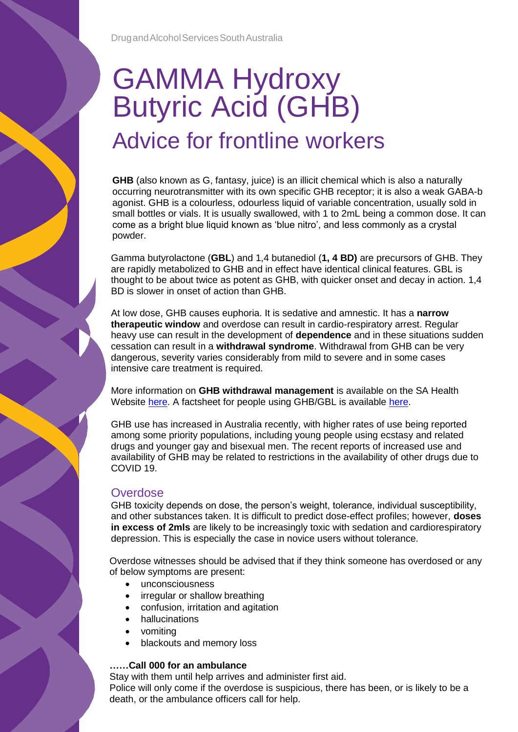# GAMMA Hydroxy Butyric Acid (GHB) Advice for frontline workers

**GHB** (also known as G, fantasy, juice) is an illicit chemical which is also a naturally occurring neurotransmitter with its own specific GHB receptor; it is also a weak GABA-b agonist. GHB is a colourless, odourless liquid of variable concentration, usually sold in small bottles or vials. It is usually swallowed, with 1 to 2mL being a common dose. It can come as a bright blue liquid known as 'blue nitro', and less commonly as a crystal powder.

Gamma butyrolactone (**GBL**) and 1,4 butanediol (**1, 4 BD)** are precursors of GHB. They are rapidly metabolized to GHB and in effect have identical clinical features. GBL is thought to be about twice as potent as GHB, with quicker onset and decay in action. 1,4 BD is slower in onset of action than GHB.

At low dose, GHB causes euphoria. It is sedative and amnestic. It has a **narrow therapeutic window** and overdose can result in cardio-respiratory arrest. Regular heavy use can result in the development of **dependence** and in these situations sudden cessation can result in a **withdrawal syndrome**. Withdrawal from GHB can be very dangerous, severity varies considerably from mild to severe and in some cases intensive care treatment is required.

More information on **GHB withdrawal management** is available on the SA Health Website [here.](https://www.sahealth.sa.gov.au/wps/wcm/connect/public+content/sa+health+internet/clinical+resources/clinical+programs+and+practice+guidelines/substance+misuse+and+dependence/substance+withdrawal+management/ghb+withdrawal+management) A factsheet for people using GHB/GBL is available [here.](https://www.sahealth.sa.gov.au/wps/wcm/connect/public+content/sa+health+internet/services/mental+health+and+drug+and+alcohol+services/drug+and+alcohol+services/dassa+publications+and+resources/drug+and+alcohol+publications+and+resources+for+health+professionals)

GHB use has increased in Australia recently, with higher rates of use being reported among some priority populations, including young people using ecstasy and related drugs and younger gay and bisexual men. The recent reports of increased use and availability of GHB may be related to restrictions in the availability of other drugs due to COVID 19.

## **Overdose**

GHB toxicity depends on dose, the person's weight, tolerance, individual susceptibility, and other substances taken. It is difficult to predict dose-effect profiles; however, **doses in excess of 2mls** are likely to be increasingly toxic with sedation and cardiorespiratory depression. This is especially the case in novice users without tolerance.

Overdose witnesses should be advised that if they think someone has overdosed or any of below symptoms are present:

- unconsciousness
- irregular or shallow breathing
- confusion, irritation and agitation
- hallucinations
- vomiting
- blackouts and memory loss

#### **……Call 000 for an ambulance**

Stay with them until help arrives and administer first aid. Police will only come if the overdose is suspicious, there has been, or is likely to be a death, or the ambulance officers call for help.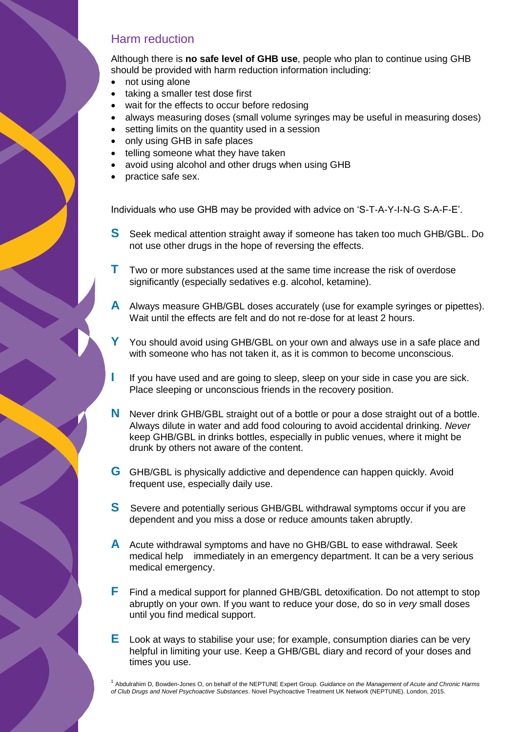### Harm reduction

Although there is **no safe level of GHB use**, people who plan to continue using GHB should be provided with harm reduction information including:

- not using alone
- taking a smaller test dose first
- wait for the effects to occur before redosing
- always measuring doses (small volume syringes may be useful in measuring doses)
- setting limits on the quantity used in a session
- only using GHB in safe places
- telling someone what they have taken
- avoid using alcohol and other drugs when using GHB
- practice safe sex.

Individuals who use GHB may be provided with advice on 'S-T-A-Y-I-N-G S-A-F-E'.

- **S** Seek medical attention straight away if someone has taken too much GHB/GBL. Do not use other drugs in the hope of reversing the effects.
- **T** Two or more substances used at the same time increase the risk of overdose significantly (especially sedatives e.g. alcohol, ketamine).
- **A** Always measure GHB/GBL doses accurately (use for example syringes or pipettes). Wait until the effects are felt and do not re-dose for at least 2 hours.
- You should avoid using GHB/GBL on your own and always use in a safe place and with someone who has not taken it, as it is common to become unconscious.
- I If you have used and are going to sleep, sleep on your side in case you are sick. Place sleeping or unconscious friends in the recovery position.
- **N** Never drink GHB/GBL straight out of a bottle or pour a dose straight out of a bottle. Always dilute in water and add food colouring to avoid accidental drinking. *Never*  keep GHB/GBL in drinks bottles, especially in public venues, where it might be drunk by others not aware of the content.
- **G** GHB/GBL is physically addictive and dependence can happen quickly. Avoid frequent use, especially daily use.
- **S** Severe and potentially serious GHB/GBL withdrawal symptoms occur if you are dependent and you miss a dose or reduce amounts taken abruptly.
- **A** Acute withdrawal symptoms and have no GHB/GBL to ease withdrawal. Seek medical help immediately in an emergency department. It can be a very serious medical emergency.
- **F** Find a medical support for planned GHB/GBL detoxification. Do not attempt to stop abruptly on your own. If you want to reduce your dose, do so in *very* small doses until you find medical support.
- **E** Look at ways to stabilise your use; for example, consumption diaries can be very helpful in limiting your use. Keep a GHB/GBL diary and record of your doses and times you use.

1 Abdulrahim D, Bowden-Jones O, on behalf of the NEPTUNE Expert Group. *Guidance on the Management of Acute and Chronic Harms of Club Drugs and Novel Psychoactive Substances*. Novel Psychoactive Treatment UK Network (NEPTUNE). London, 2015.